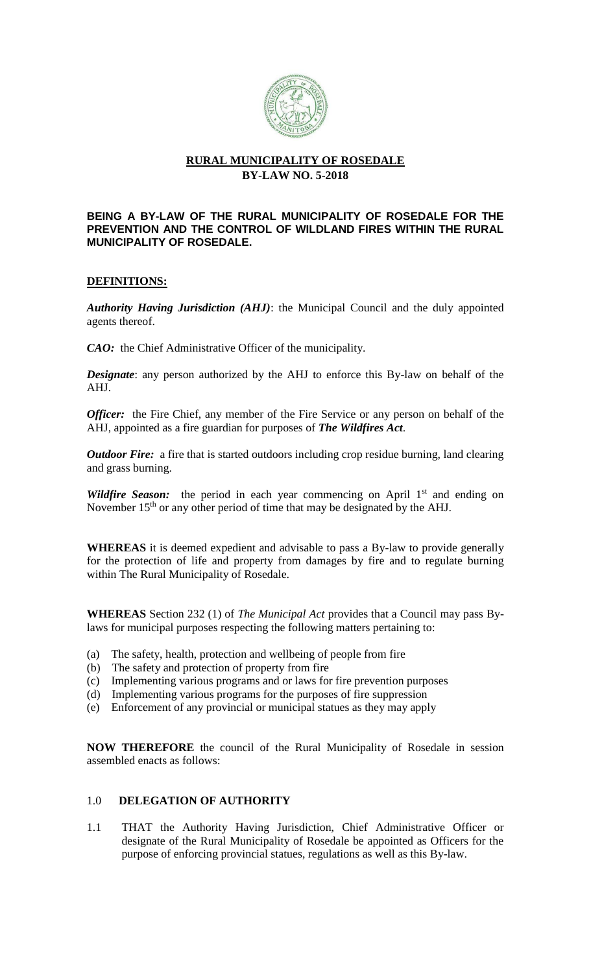

# **RURAL MUNICIPALITY OF ROSEDALE BY-LAW NO. 5-2018**

#### **BEING A BY-LAW OF THE RURAL MUNICIPALITY OF ROSEDALE FOR THE PREVENTION AND THE CONTROL OF WILDLAND FIRES WITHIN THE RURAL MUNICIPALITY OF ROSEDALE.**

## **DEFINITIONS:**

*Authority Having Jurisdiction (AHJ)*: the Municipal Council and the duly appointed agents thereof.

*CAO:* the Chief Administrative Officer of the municipality.

*Designate*: any person authorized by the AHJ to enforce this By-law on behalf of the AHJ.

*Officer:* the Fire Chief, any member of the Fire Service or any person on behalf of the AHJ, appointed as a fire guardian for purposes of *The Wildfires Act*.

*Outdoor Fire:* a fire that is started outdoors including crop residue burning, land clearing and grass burning.

*Wildfire Season:* the period in each year commencing on April 1<sup>st</sup> and ending on November  $15<sup>th</sup>$  or any other period of time that may be designated by the AHJ.

**WHEREAS** it is deemed expedient and advisable to pass a By-law to provide generally for the protection of life and property from damages by fire and to regulate burning within The Rural Municipality of Rosedale.

**WHEREAS** Section 232 (1) of *The Municipal Act* provides that a Council may pass Bylaws for municipal purposes respecting the following matters pertaining to:

- (a) The safety, health, protection and wellbeing of people from fire
- (b) The safety and protection of property from fire
- (c) Implementing various programs and or laws for fire prevention purposes
- (d) Implementing various programs for the purposes of fire suppression
- (e) Enforcement of any provincial or municipal statues as they may apply

**NOW THEREFORE** the council of the Rural Municipality of Rosedale in session assembled enacts as follows:

## 1.0 **DELEGATION OF AUTHORITY**

1.1 THAT the Authority Having Jurisdiction, Chief Administrative Officer or designate of the Rural Municipality of Rosedale be appointed as Officers for the purpose of enforcing provincial statues, regulations as well as this By-law.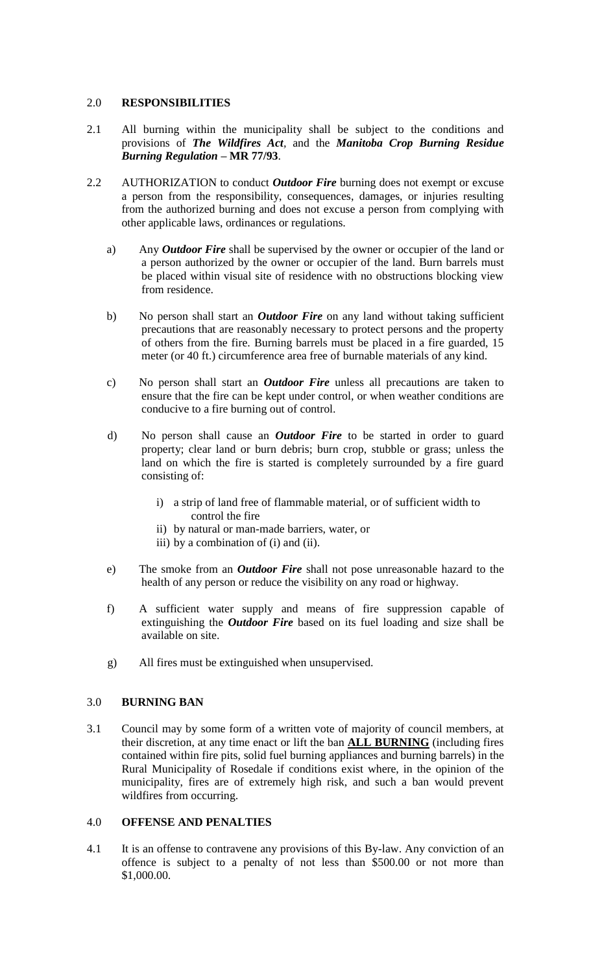### 2.0 **RESPONSIBILITIES**

- 2.1 All burning within the municipality shall be subject to the conditions and provisions of *The Wildfires Act,* and the *Manitoba Crop Burning Residue Burning Regulation –* **MR 77/93**.
- 2.2 AUTHORIZATION to conduct *Outdoor Fire* burning does not exempt or excuse a person from the responsibility, consequences, damages, or injuries resulting from the authorized burning and does not excuse a person from complying with other applicable laws, ordinances or regulations.
	- a) Any *Outdoor Fire* shall be supervised by the owner or occupier of the land or a person authorized by the owner or occupier of the land. Burn barrels must be placed within visual site of residence with no obstructions blocking view from residence.
	- b) No person shall start an *Outdoor Fire* on any land without taking sufficient precautions that are reasonably necessary to protect persons and the property of others from the fire. Burning barrels must be placed in a fire guarded, 15 meter (or 40 ft.) circumference area free of burnable materials of any kind.
	- c) No person shall start an *Outdoor Fire* unless all precautions are taken to ensure that the fire can be kept under control, or when weather conditions are conducive to a fire burning out of control.
	- d) No person shall cause an *Outdoor Fire* to be started in order to guard property; clear land or burn debris; burn crop, stubble or grass; unless the land on which the fire is started is completely surrounded by a fire guard consisting of:
		- i) a strip of land free of flammable material, or of sufficient width to control the fire
		- ii) by natural or man-made barriers, water, or
		- iii) by a combination of (i) and (ii).
	- e) The smoke from an *Outdoor Fire* shall not pose unreasonable hazard to the health of any person or reduce the visibility on any road or highway.
	- f) A sufficient water supply and means of fire suppression capable of extinguishing the *Outdoor Fire* based on its fuel loading and size shall be available on site.
	- g) All fires must be extinguished when unsupervised.

### 3.0 **BURNING BAN**

3.1 Council may by some form of a written vote of majority of council members, at their discretion, at any time enact or lift the ban **ALL BURNING** (including fires contained within fire pits, solid fuel burning appliances and burning barrels) in the Rural Municipality of Rosedale if conditions exist where, in the opinion of the municipality, fires are of extremely high risk, and such a ban would prevent wildfires from occurring.

### 4.0 **OFFENSE AND PENALTIES**

4.1 It is an offense to contravene any provisions of this By-law. Any conviction of an offence is subject to a penalty of not less than \$500.00 or not more than \$1,000.00.